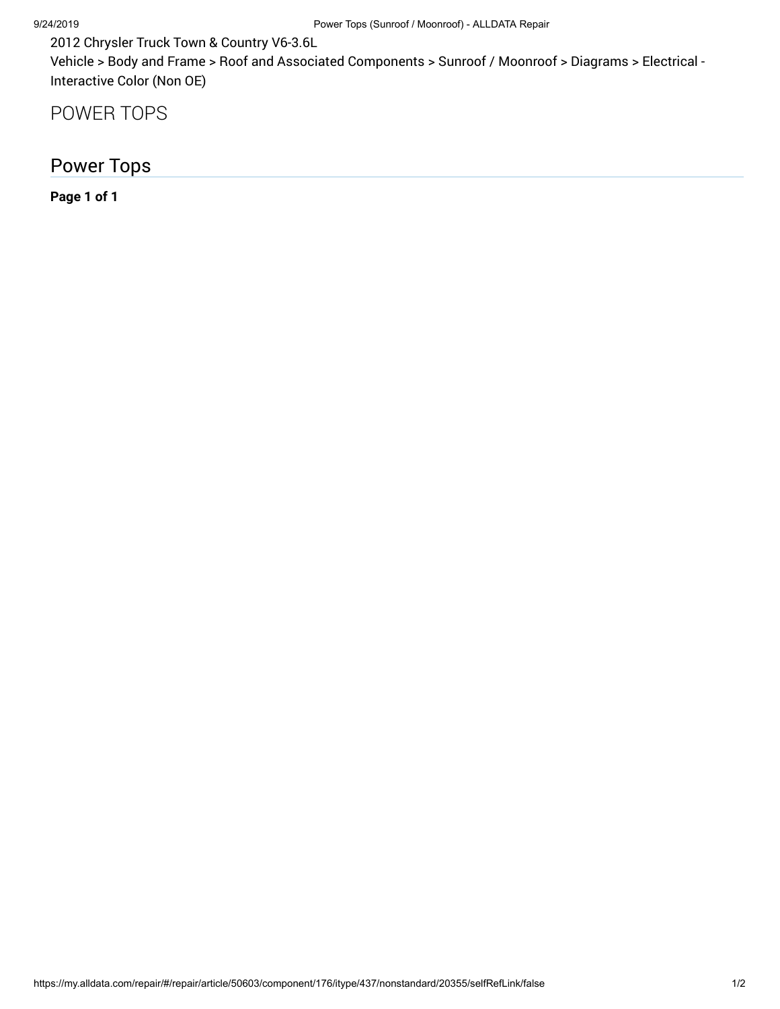2012 Chrysler Truck Town & Country V6-3.6L

Vehicle > Body and Frame > Roof and Associated Components > Sunroof / Moonroof > Diagrams > Electrical - Interactive Color (Non OE)

POWER TOPS

Power Tops

**Page 1 of 1**